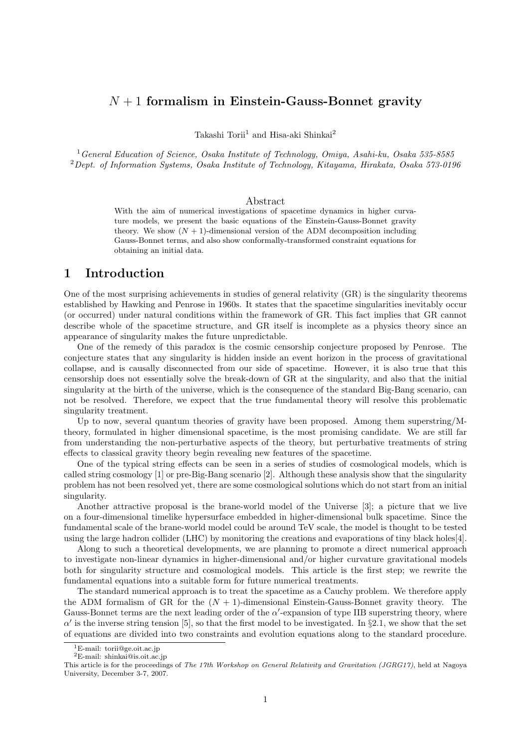# *N* + 1 **formalism in Einstein-Gauss-Bonnet gravity**

Takashi Torii<sup>1</sup> and Hisa-aki Shinkai<sup>2</sup>

<sup>1</sup>*General Education of Science, Osaka Institute of Technology, Omiya, Asahi-ku, Osaka 535-8585* <sup>2</sup>*Dept. of Information Systems, Osaka Institute of Technology, Kitayama, Hirakata, Osaka 573-0196*

#### Abstract

With the aim of numerical investigations of spacetime dynamics in higher curvature models, we present the basic equations of the Einstein-Gauss-Bonnet gravity theory. We show  $(N + 1)$ -dimensional version of the ADM decomposition including Gauss-Bonnet terms, and also show conformally-transformed constraint equations for obtaining an initial data.

### **1 Introduction**

One of the most surprising achievements in studies of general relativity (GR) is the singularity theorems established by Hawking and Penrose in 1960s. It states that the spacetime singularities inevitably occur (or occurred) under natural conditions within the framework of GR. This fact implies that GR cannot describe whole of the spacetime structure, and GR itself is incomplete as a physics theory since an appearance of singularity makes the future unpredictable.

One of the remedy of this paradox is the cosmic censorship conjecture proposed by Penrose. The conjecture states that any singularity is hidden inside an event horizon in the process of gravitational collapse, and is causally disconnected from our side of spacetime. However, it is also true that this censorship does not essentially solve the break-down of GR at the singularity, and also that the initial singularity at the birth of the universe, which is the consequence of the standard Big-Bang scenario, can not be resolved. Therefore, we expect that the true fundamental theory will resolve this problematic singularity treatment.

Up to now, several quantum theories of gravity have been proposed. Among them superstring/Mtheory, formulated in higher dimensional spacetime, is the most promising candidate. We are still far from understanding the non-perturbative aspects of the theory, but perturbative treatments of string effects to classical gravity theory begin revealing new features of the spacetime.

One of the typical string effects can be seen in a series of studies of cosmological models, which is called string cosmology [1] or pre-Big-Bang scenario [2]. Although these analysis show that the singularity problem has not been resolved yet, there are some cosmological solutions which do not start from an initial singularity.

Another attractive proposal is the brane-world model of the Universe [3]; a picture that we live on a four-dimensional timelike hypersurface embedded in higher-dimensional bulk spacetime. Since the fundamental scale of the brane-world model could be around TeV scale, the model is thought to be tested using the large hadron collider (LHC) by monitoring the creations and evaporations of tiny black holes[4].

Along to such a theoretical developments, we are planning to promote a direct numerical approach to investigate non-linear dynamics in higher-dimensional and/or higher curvature gravitational models both for singularity structure and cosmological models. This article is the first step; we rewrite the fundamental equations into a suitable form for future numerical treatments.

The standard numerical approach is to treat the spacetime as a Cauchy problem. We therefore apply the ADM formalism of GR for the (*N* + 1)-dimensional Einstein-Gauss-Bonnet gravity theory. The Gauss-Bonnet terms are the next leading order of the *α*'-expansion of type IIB superstring theory, where  $\alpha'$  is the inverse string tension [5], so that the first model to be investigated. In *§*2.1, we show that the set of equations are divided into two constraints and evolution equations along to the standard procedure.

<sup>1</sup>E-mail: torii@ge.oit.ac.jp

 $^2\mathrm{E}\text{-}\mathrm{mail:}$ shinkai@is.oit.ac.jp

This article is for the proceedings of *The 17th Workshop on General Relativity and Gravitation (JGRG17)*, held at Nagoya University, December 3-7, 2007.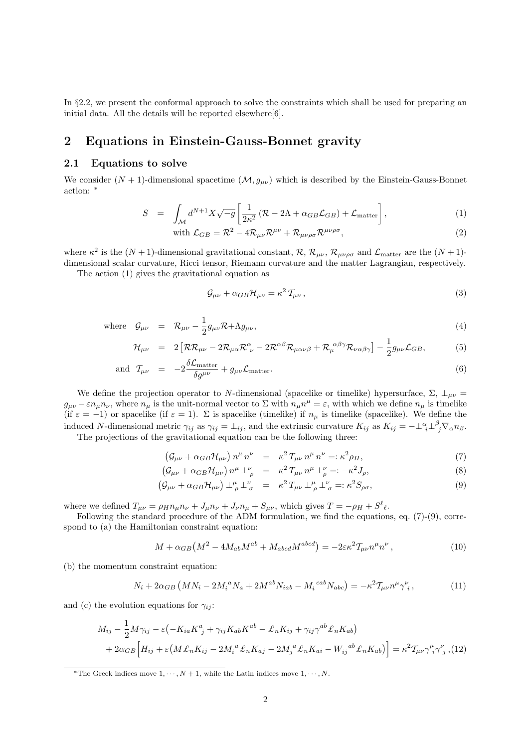In §2.2, we present the conformal approach to solve the constraints which shall be used for preparing an initial data. All the details will be reported elsewhere[6].

## **2 Equations in Einstein-Gauss-Bonnet gravity**

#### **2.1 Equations to solve**

We consider  $(N + 1)$ -dimensional spacetime  $(M, g_{\mu\nu})$  which is described by the Einstein-Gauss-Bonnet action: *<sup>∗</sup>*

$$
S = \int_{\mathcal{M}} d^{N+1} X \sqrt{-g} \left[ \frac{1}{2\kappa^2} \left( \mathcal{R} - 2\Lambda + \alpha_{GB} \mathcal{L}_{GB} \right) + \mathcal{L}_{\text{matter}} \right], \tag{1}
$$

with 
$$
\mathcal{L}_{GB} = \mathcal{R}^2 - 4\mathcal{R}_{\mu\nu}\mathcal{R}^{\mu\nu} + \mathcal{R}_{\mu\nu\rho\sigma}\mathcal{R}^{\mu\nu\rho\sigma},
$$
 (2)

where  $\kappa^2$  is the  $(N+1)$ -dimensional gravitational constant,  $\mathcal{R}$ ,  $\mathcal{R}_{\mu\nu}$ ,  $\mathcal{R}_{\mu\nu\rho\sigma}$  and  $\mathcal{L}_{\text{matter}}$  are the  $(N+1)$ dimensional scalar curvature, Ricci tensor, Riemann curvature and the matter Lagrangian, respectively.

The action (1) gives the gravitational equation as

$$
\mathcal{G}_{\mu\nu} + \alpha_{GB} \mathcal{H}_{\mu\nu} = \kappa^2 \, \mathcal{T}_{\mu\nu} \,, \tag{3}
$$

where 
$$
\mathcal{G}_{\mu\nu} = \mathcal{R}_{\mu\nu} - \frac{1}{2} g_{\mu\nu} \mathcal{R} + \Lambda g_{\mu\nu}, \qquad (4)
$$

$$
\mathcal{H}_{\mu\nu} = 2 \left[ \mathcal{R} \mathcal{R}_{\mu\nu} - 2 \mathcal{R}_{\mu\alpha} \mathcal{R}^{\alpha}_{\ \nu} - 2 \mathcal{R}^{\alpha\beta} \mathcal{R}_{\mu\alpha\nu\beta} + \mathcal{R}_{\mu}^{\ \alpha\beta\gamma} \mathcal{R}_{\nu\alpha\beta\gamma} \right] - \frac{1}{2} g_{\mu\nu} \mathcal{L}_{GB}, \tag{5}
$$

and 
$$
\mathcal{T}_{\mu\nu} = -2 \frac{\delta \mathcal{L}_{\text{matter}}}{\delta g^{\mu\nu}} + g_{\mu\nu} \mathcal{L}_{\text{matter}}.
$$
 (6)

We define the projection operator to *N*-dimensional (spacelike or timelike) hypersurface,  $\Sigma$ ,  $\perp_{\mu\nu}$  =  $g_{\mu\nu} - \varepsilon n_{\mu} n_{\nu}$ , where  $n_{\mu}$  is the unit-normal vector to  $\Sigma$  with  $n_{\mu} n^{\mu} = \varepsilon$ , with which we define  $n_{\mu}$  is timelike (if  $\varepsilon = -1$ ) or spacelike (if  $\varepsilon = 1$ ).  $\Sigma$  is spacelike (timelike) if  $n<sub>\mu</sub>$  is timelike (spacelike). We define the induced N-dimensional metric  $\gamma_{ij}$  as  $\gamma_{ij} = \perp_{ij}$ , and the extrinsic curvature  $K_{ij}$  as  $K_{ij} = -\perp_{i}^{\alpha} \perp_{j}^{\beta} \nabla_{\alpha} n_{\beta}$ .

The projections of the gravitational equation can be the following three:

$$
\left(\mathcal{G}_{\mu\nu} + \alpha_{GB}\mathcal{H}_{\mu\nu}\right)n^{\mu}n^{\nu} = \kappa^2 T_{\mu\nu}n^{\mu}n^{\nu} =: \kappa^2 \rho_H,\tag{7}
$$

$$
\left(\mathcal{G}_{\mu\nu} + \alpha_{GB}\mathcal{H}_{\mu\nu}\right)n^{\mu} \perp^{\nu}_{\rho} = \kappa^2 T_{\mu\nu}n^{\mu} \perp^{\nu}_{\rho} =: -\kappa^2 J_{\rho},\tag{8}
$$

$$
\left(\mathcal{G}_{\mu\nu} + \alpha_{GB}\mathcal{H}_{\mu\nu}\right)\perp^{\mu}_{\rho}\perp^{\nu}_{\sigma} = \kappa^2 T_{\mu\nu}\perp^{\mu}_{\rho}\perp^{\nu}_{\sigma} =: \kappa^2 S_{\rho\sigma},\tag{9}
$$

where we defined  $T_{\mu\nu} = \rho_H n_\mu n_\nu + J_\mu n_\nu + J_\nu n_\mu + S_{\mu\nu}$ , which gives  $T = -\rho_H + S^\ell_{\ \ell}$ .

Following the standard procedure of the ADM formulation, we find the equations, eq. (7)-(9), correspond to (a) the Hamiltonian constraint equation:

$$
M + \alpha_{GB}(M^2 - 4M_{ab}M^{ab} + M_{abcd}M^{abcd}) = -2\varepsilon\kappa^2 \mathcal{T}_{\mu\nu}n^{\mu}n^{\nu},\tag{10}
$$

(b) the momentum constraint equation:

$$
N_i + 2\alpha_{GB} \left( M N_i - 2 M_i^{\ a} N_a + 2 M^{ab} N_{iab} - M_i^{\ cab} N_{abc} \right) = -\kappa^2 \mathcal{T}_{\mu\nu} n^{\mu} \gamma^{\nu}_i , \qquad (11)
$$

and (c) the evolution equations for  $\gamma_{ij}$ :

$$
M_{ij} - \frac{1}{2}M\gamma_{ij} - \varepsilon \left( -K_{ia}K^a_{\ j} + \gamma_{ij}K_{ab}K^{ab} - \pounds_n K_{ij} + \gamma_{ij}\gamma^{ab}\pounds_n K_{ab} \right)
$$
  
+ 
$$
2\alpha_{GB}\left[H_{ij} + \varepsilon \left(M\pounds_n K_{ij} - 2M_i{}^a\pounds_n K_{aj} - 2M_j{}^a\pounds_n K_{ai} - W_{ij}{}^{ab}\pounds_n K_{ab}\right)\right] = \kappa^2 \mathcal{T}_{\mu\nu}\gamma^{\mu}_{\ i}\gamma^{\nu}_{\ j} , \tag{12}
$$

*<sup>\*</sup>*The Greek indices move  $1, \dots, N + 1$ , while the Latin indices move  $1, \dots, N$ .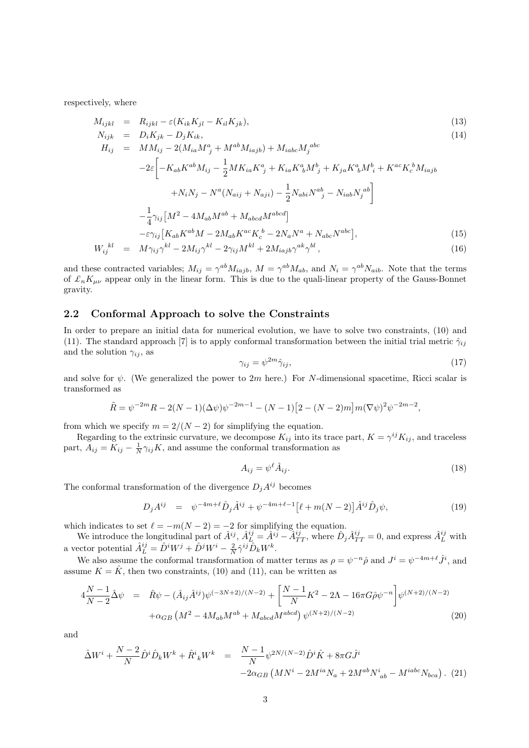respectively, where

$$
M_{ijkl} = R_{ijkl} - \varepsilon (K_{ik} K_{jl} - K_{il} K_{jk}),
$$
  
\n
$$
N_{ijk} = D_i K_{ik} - D_i K_{ik},
$$
\n(13)

$$
H_{ij} = M M_{ij} - 2(M_{ia}M^{a}_{j} + M^{ab}M_{iajb}) + M_{iabc}M_{j}^{abc}
$$
  
\n
$$
-2\varepsilon \left[ -K_{ab}K^{ab}M_{ij} - \frac{1}{2}MK_{ia}K^{a}_{j} + K_{ia}K^{a}_{b}M^{b}_{j} + K_{ja}K^{a}_{b}M^{b}_{i} + K^{ac}K^{b}_{c}M_{iajb} + N_{i}N_{j} - N^{a}(N_{aij} + N_{aji}) - \frac{1}{2}N_{abi}N^{ab}_{j} - N_{iab}N_{j}^{ab} \right]
$$
  
\n
$$
- \frac{1}{4}\gamma_{ij}\left[M^{2} - 4M_{ab}M^{ab} + M_{abcd}M^{abcd}\right]
$$
  
\n
$$
- \varepsilon\gamma_{ij}\left[K_{ab}K^{ab}M - 2M_{ab}K^{ac}K^{b}_{c} - 2N_{a}N^{a} + N_{abc}N^{abc}\right],
$$
\n(M)

$$
W_{ij}^{kl} = M\gamma_{ij}\gamma^{kl} - 2M_{ij}\gamma^{kl} - 2\gamma_{ij}M^{kl} + 2M_{iajb}\gamma^{ak}\gamma^{bl}, \qquad (16)
$$

and these contracted variables;  $M_{ij} = \gamma^{ab} M_{iajb}$ ,  $M = \gamma^{ab} M_{ab}$ , and  $N_i = \gamma^{ab} N_{aib}$ . Note that the terms of  $\mathcal{L}_n K_{\mu\nu}$  appear only in the linear form. This is due to the quali-linear property of the Gauss-Bonnet gravity.

#### **2.2 Conformal Approach to solve the Constraints**

In order to prepare an initial data for numerical evolution, we have to solve two constraints, (10) and (11). The standard approach [7] is to apply conformal transformation between the initial trial metric  $\hat{\gamma}_{ij}$ and the solution  $\gamma_{ij}$ , as

$$
\gamma_{ij} = \psi^{2m} \hat{\gamma}_{ij},\tag{17}
$$

and solve for  $\psi$ . (We generalized the power to 2*m* here.) For *N*-dimensional spacetime, Ricci scalar is transformed as

$$
\tilde{R} = \psi^{-2m} R - 2(N-1)(\Delta \psi)\psi^{-2m-1} - (N-1)[2 - (N-2)m]m(\nabla \psi)^2 \psi^{-2m-2},
$$

from which we specify  $m = 2/(N - 2)$  for simplifying the equation.

Regarding to the extrinsic curvature, we decompose  $K_{ij}$  into its trace part,  $K = \gamma^{ij} K_{ij}$ , and traceless part,  $A_{ij} = K_{ij} - \frac{1}{N} \gamma_{ij} K$ , and assume the conformal transformation as

$$
A_{ij} = \psi^{\ell} \hat{A}_{ij}.
$$
\n<sup>(18)</sup>

The conformal transformation of the divergence  $D_i A^{ij}$  becomes

$$
D_j A^{ij} = \psi^{-4m+\ell} \hat{D}_j \hat{A}^{ij} + \psi^{-4m+\ell-1} \left[ \ell + m(N-2) \right] \hat{A}^{ij} \hat{D}_j \psi,
$$
\n(19)

which indicates to set  $\ell = -m(N-2) = -2$  for simplifying the equation.

We introduce the longitudinal part of  $\hat{A}^{ij}$ ,  $\hat{A}_L^{ij} = \hat{A}^{ij} - \hat{A}_{TT}^{ij}$ , where  $\hat{D}_j \hat{A}_{TT}^{ij} = 0$ , and express  $\hat{A}_L^{ij}$  with a vector potential  $\hat{A}_L^{ij} = \hat{D}^i W^j + \hat{D}^j W^i - \frac{2}{N} \hat{\gamma}^{ij} \hat{D}_k W^k$ .

We also assume the conformal transformation of matter terms as  $\rho = \psi^{-n}\hat{\rho}$  and  $J^i = \psi^{-4m+\ell}\hat{J}^i$ , and assume  $K = \hat{K}$ , then two constraints, (10) and (11), can be written as

$$
4\frac{N-1}{N-2}\hat{\Delta}\psi = \hat{R}\psi - (\hat{A}_{ij}\hat{A}^{ij})\psi^{(-3N+2)/(N-2)} + \left[\frac{N-1}{N}K^2 - 2\Lambda - 16\pi G\hat{\rho}\psi^{-n}\right]\psi^{(N+2)/(N-2)} + \alpha_{GB}\left(M^2 - 4M_{ab}M^{ab} + M_{abcd}M^{abcd}\right)\psi^{(N+2)/(N-2)}\tag{20}
$$

and

$$
\begin{split} \hat{\Delta}W^{i} + \frac{N-2}{N}\hat{D}^{i}\hat{D}_{k}W^{k} + \hat{R}^{i}_{\ k}W^{k} &= \frac{N-1}{N}\psi^{2N/(N-2)}\hat{D}^{i}\hat{K} + 8\pi G\hat{J}^{i} \\ &-2\alpha_{GB}\left(MN^{i} - 2M^{ia}N_{a} + 2M^{ab}N^{i}_{\ ab} - M^{iabc}N_{bca}\right). \end{split} \tag{21}
$$